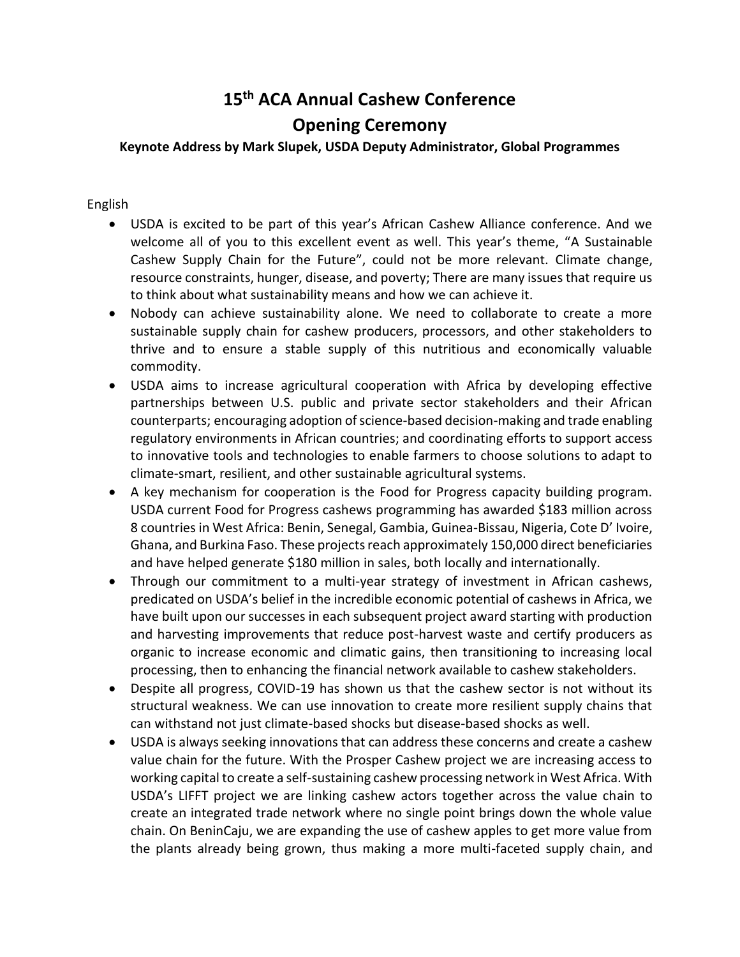## **15th ACA Annual Cashew Conference**

## **Opening Ceremony**

## **Keynote Address by Mark Slupek, USDA Deputy Administrator, Global Programmes**

## English

- USDA is excited to be part of this year's African Cashew Alliance conference. And we welcome all of you to this excellent event as well. This year's theme, "A Sustainable Cashew Supply Chain for the Future", could not be more relevant. Climate change, resource constraints, hunger, disease, and poverty; There are many issues that require us to think about what sustainability means and how we can achieve it.
- Nobody can achieve sustainability alone. We need to collaborate to create a more sustainable supply chain for cashew producers, processors, and other stakeholders to thrive and to ensure a stable supply of this nutritious and economically valuable commodity.
- USDA aims to increase agricultural cooperation with Africa by developing effective partnerships between U.S. public and private sector stakeholders and their African counterparts; encouraging adoption of science-based decision-making and trade enabling regulatory environments in African countries; and coordinating efforts to support access to innovative tools and technologies to enable farmers to choose solutions to adapt to climate-smart, resilient, and other sustainable agricultural systems.
- A key mechanism for cooperation is the Food for Progress capacity building program. USDA current Food for Progress cashews programming has awarded \$183 million across 8 countries in West Africa: Benin, Senegal, Gambia, Guinea-Bissau, Nigeria, Cote D' Ivoire, Ghana, and Burkina Faso. These projects reach approximately 150,000 direct beneficiaries and have helped generate \$180 million in sales, both locally and internationally.
- Through our commitment to a multi-year strategy of investment in African cashews, predicated on USDA's belief in the incredible economic potential of cashews in Africa, we have built upon our successes in each subsequent project award starting with production and harvesting improvements that reduce post-harvest waste and certify producers as organic to increase economic and climatic gains, then transitioning to increasing local processing, then to enhancing the financial network available to cashew stakeholders.
- Despite all progress, COVID-19 has shown us that the cashew sector is not without its structural weakness. We can use innovation to create more resilient supply chains that can withstand not just climate-based shocks but disease-based shocks as well.
- USDA is always seeking innovations that can address these concerns and create a cashew value chain for the future. With the Prosper Cashew project we are increasing access to working capital to create a self-sustaining cashew processing network in West Africa. With USDA's LIFFT project we are linking cashew actors together across the value chain to create an integrated trade network where no single point brings down the whole value chain. On BeninCaju, we are expanding the use of cashew apples to get more value from the plants already being grown, thus making a more multi-faceted supply chain, and